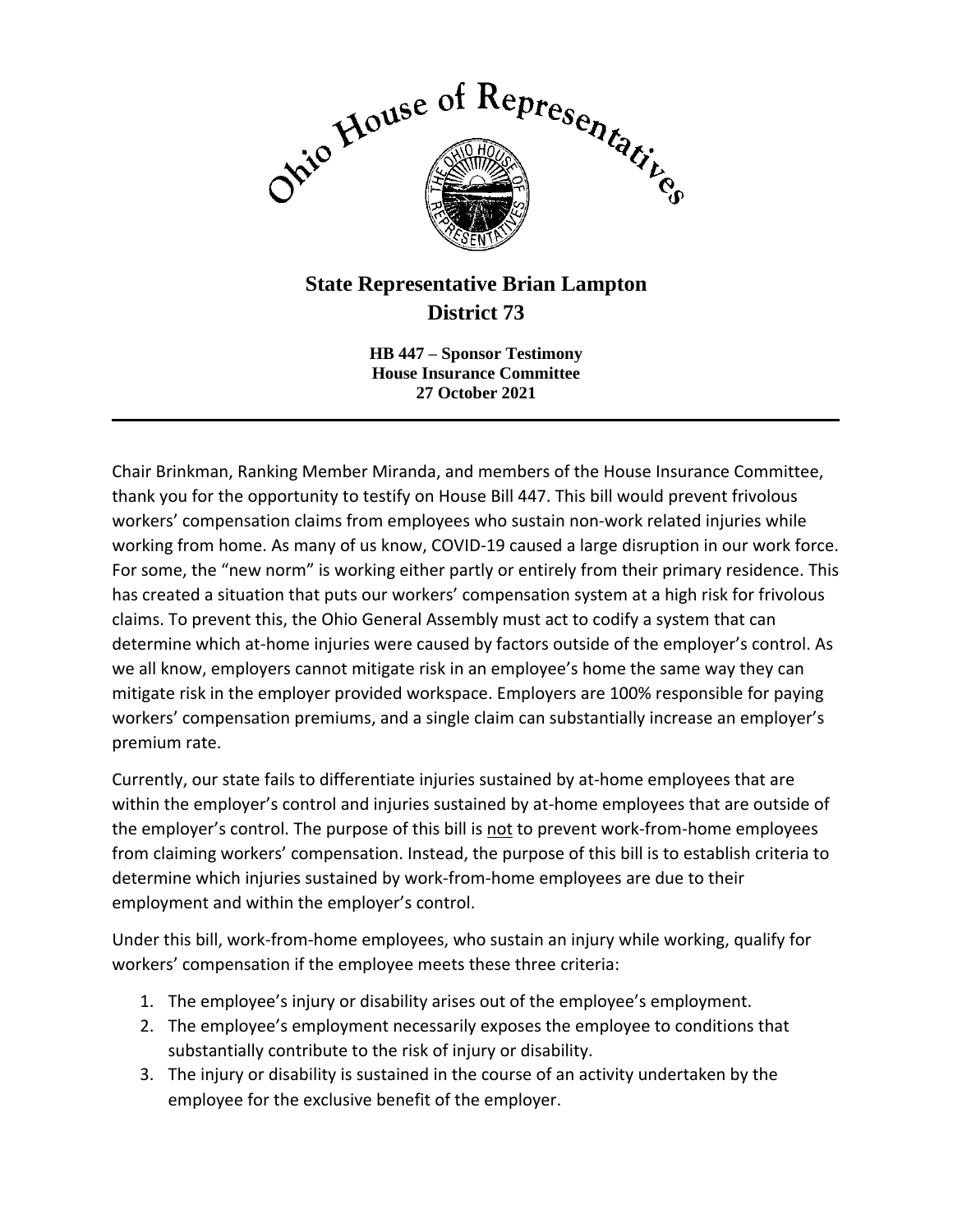

## **State Representative Brian Lampton District 73**

**HB 447 – Sponsor Testimony House Insurance Committee 27 October 2021**

 $\mathcal{L}_\mathcal{L} = \mathcal{L}_\mathcal{L} = \mathcal{L}_\mathcal{L} = \mathcal{L}_\mathcal{L} = \mathcal{L}_\mathcal{L} = \mathcal{L}_\mathcal{L} = \mathcal{L}_\mathcal{L} = \mathcal{L}_\mathcal{L} = \mathcal{L}_\mathcal{L} = \mathcal{L}_\mathcal{L} = \mathcal{L}_\mathcal{L} = \mathcal{L}_\mathcal{L} = \mathcal{L}_\mathcal{L} = \mathcal{L}_\mathcal{L} = \mathcal{L}_\mathcal{L} = \mathcal{L}_\mathcal{L} = \mathcal{L}_\mathcal{L}$ 

Chair Brinkman, Ranking Member Miranda, and members of the House Insurance Committee, thank you for the opportunity to testify on House Bill 447. This bill would prevent frivolous workers' compensation claims from employees who sustain non-work related injuries while working from home. As many of us know, COVID-19 caused a large disruption in our work force. For some, the "new norm" is working either partly or entirely from their primary residence. This has created a situation that puts our workers' compensation system at a high risk for frivolous claims. To prevent this, the Ohio General Assembly must act to codify a system that can determine which at-home injuries were caused by factors outside of the employer's control. As we all know, employers cannot mitigate risk in an employee's home the same way they can mitigate risk in the employer provided workspace. Employers are 100% responsible for paying workers' compensation premiums, and a single claim can substantially increase an employer's premium rate.

Currently, our state fails to differentiate injuries sustained by at-home employees that are within the employer's control and injuries sustained by at-home employees that are outside of the employer's control. The purpose of this bill is not to prevent work-from-home employees from claiming workers' compensation. Instead, the purpose of this bill is to establish criteria to determine which injuries sustained by work-from-home employees are due to their employment and within the employer's control.

Under this bill, work-from-home employees, who sustain an injury while working, qualify for workers' compensation if the employee meets these three criteria:

- 1. The employee's injury or disability arises out of the employee's employment.
- 2. The employee's employment necessarily exposes the employee to conditions that substantially contribute to the risk of injury or disability.
- 3. The injury or disability is sustained in the course of an activity undertaken by the employee for the exclusive benefit of the employer.